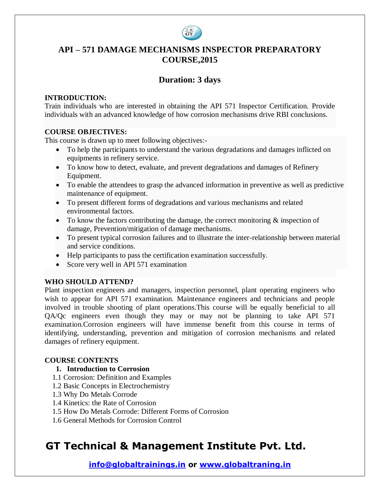

## **API – 571 DAMAGE MECHANISMS INSPECTOR PREPARATORY COURSE,2015**

### **Duration: 3 days**

### **INTRODUCTION:**

Train individuals who are interested in obtaining the API 571 Inspector Certification. Provide individuals with an advanced knowledge of how corrosion mechanisms drive RBI conclusions.

### **COURSE OBJECTIVES:**

This course is drawn up to meet following objectives:-

- To help the participants to understand the various degradations and damages inflicted on equipments in refinery service.
- To know how to detect, evaluate, and prevent degradations and damages of Refinery Equipment.
- To enable the attendees to grasp the advanced information in preventive as well as predictive maintenance of equipment.
- To present different forms of degradations and various mechanisms and related environmental factors.
- $\bullet$  To know the factors contributing the damage, the correct monitoring  $\&$  inspection of damage, Prevention/mitigation of damage mechanisms.
- To present typical corrosion failures and to illustrate the inter-relationship between material and service conditions.
- Help participants to pass the certification examination successfully.
- Score very well in API 571 examination

### **WHO SHOULD ATTEND?**

Plant inspection engineers and managers, inspection personnel, plant operating engineers who wish to appear for API 571 examination. Maintenance engineers and technicians and people involved in trouble shooting of plant operations.This course will be equally beneficial to all QA/Qc engineers even though they may or may not be planning to take API 571 examination.Corrosion engineers will have immense benefit from this course in terms of identifying, understanding, prevention and mitigation of corrosion mechanisms and related damages of refinery equipment.

### **COURSE CONTENTS**

### **1. Introduction to Corrosion**

- 1.1 Corrosion: Definition and Examples
- 1.2 Basic Concepts in Electrochemistry
- 1.3 Why Do Metals Corrode
- 1.4 Kinetics: the Rate of Corrosion
- 1.5 How Do Metals Corrode: Different Forms of Corrosion
- 1.6 General Methods for Corrosion Control

# **GT Technical & Management Institute Pvt. Ltd.**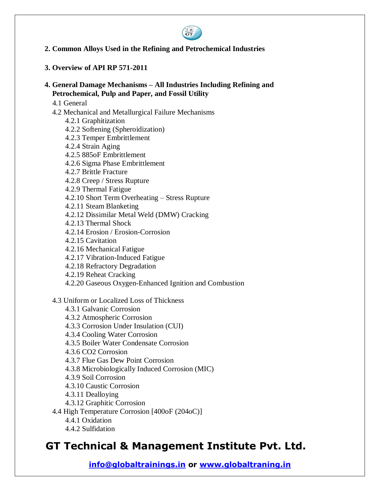

**2. Common Alloys Used in the Refining and Petrochemical Industries**

### **3. Overview of API RP 571-2011**

#### **4. General Damage Mechanisms – All Industries Including Refining and Petrochemical, Pulp and Paper, and Fossil Utility**

- 4.1 General
- 4.2 Mechanical and Metallurgical Failure Mechanisms
	- 4.2.1 Graphitization
	- 4.2.2 Softening (Spheroidization)
	- 4.2.3 Temper Embrittlement
	- 4.2.4 Strain Aging
	- 4.2.5 885oF Embrittlement
	- 4.2.6 Sigma Phase Embrittlement
	- 4.2.7 Brittle Fracture
	- 4.2.8 Creep / Stress Rupture
	- 4.2.9 Thermal Fatigue
	- 4.2.10 Short Term Overheating Stress Rupture
	- 4.2.11 Steam Blanketing
	- 4.2.12 Dissimilar Metal Weld (DMW) Cracking
	- 4.2.13 Thermal Shock
	- 4.2.14 Erosion / Erosion-Corrosion
	- 4.2.15 Cavitation
	- 4.2.16 Mechanical Fatigue
	- 4.2.17 Vibration-Induced Fatigue
	- 4.2.18 Refractory Degradation
	- 4.2.19 Reheat Cracking
	- 4.2.20 Gaseous Oxygen-Enhanced Ignition and Combustion
- 4.3 Uniform or Localized Loss of Thickness
	- 4.3.1 Galvanic Corrosion
	- 4.3.2 Atmospheric Corrosion
	- 4.3.3 Corrosion Under Insulation (CUI)
	- 4.3.4 Cooling Water Corrosion
	- 4.3.5 Boiler Water Condensate Corrosion
	- 4.3.6 CO2 Corrosion
	- 4.3.7 Flue Gas Dew Point Corrosion
	- 4.3.8 Microbiologically Induced Corrosion (MIC)
	- 4.3.9 Soil Corrosion
	- 4.3.10 Caustic Corrosion
	- 4.3.11 Dealloying
	- 4.3.12 Graphitic Corrosion
- 4.4 High Temperature Corrosion [400oF (204oC)]
	- 4.4.1 Oxidation
	- 4.4.2 Sulfidation

## **GT Technical & Management Institute Pvt. Ltd.**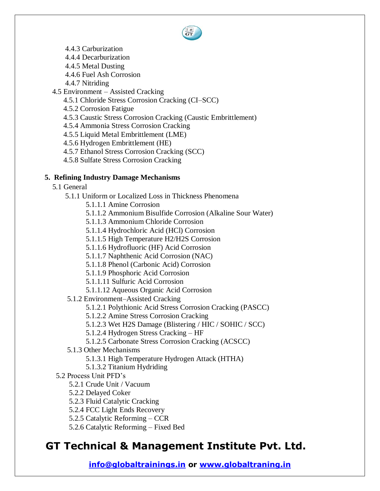- 4.4.3 Carburization
- 4.4.4 Decarburization
- 4.4.5 Metal Dusting
- 4.4.6 Fuel Ash Corrosion
- 4.4.7 Nitriding
- 4.5 Environment Assisted Cracking
	- 4.5.1 Chloride Stress Corrosion Cracking (CI–SCC)
	- 4.5.2 Corrosion Fatigue
	- 4.5.3 Caustic Stress Corrosion Cracking (Caustic Embrittlement)
	- 4.5.4 Ammonia Stress Corrosion Cracking
	- 4.5.5 Liquid Metal Embrittlement (LME)
	- 4.5.6 Hydrogen Embrittlement (HE)
	- 4.5.7 Ethanol Stress Corrosion Cracking (SCC)
	- 4.5.8 Sulfate Stress Corrosion Cracking

### **5. Refining Industry Damage Mechanisms**

- 5.1 General
	- 5.1.1 Uniform or Localized Loss in Thickness Phenomena
		- 5.1.1.1 Amine Corrosion
		- 5.1.1.2 Ammonium Bisulfide Corrosion (Alkaline Sour Water)
		- 5.1.1.3 Ammonium Chloride Corrosion
		- 5.1.1.4 Hydrochloric Acid (HCl) Corrosion
		- 5.1.1.5 High Temperature H2/H2S Corrosion
		- 5.1.1.6 Hydrofluoric (HF) Acid Corrosion
		- 5.1.1.7 Naphthenic Acid Corrosion (NAC)
		- 5.1.1.8 Phenol (Carbonic Acid) Corrosion
		- 5.1.1.9 Phosphoric Acid Corrosion
		- 5.1.1.11 Sulfuric Acid Corrosion
		- 5.1.1.12 Aqueous Organic Acid Corrosion
	- 5.1.2 Environment–Assisted Cracking
		- 5.1.2.1 Polythionic Acid Stress Corrosion Cracking (PASCC)
		- 5.1.2.2 Amine Stress Corrosion Cracking
		- 5.1.2.3 Wet H2S Damage (Blistering / HIC / SOHIC / SCC)
		- 5.1.2.4 Hydrogen Stress Cracking HF
		- 5.1.2.5 Carbonate Stress Corrosion Cracking (ACSCC)
	- 5.1.3 Other Mechanisms
		- 5.1.3.1 High Temperature Hydrogen Attack (HTHA)
		- 5.1.3.2 Titanium Hydriding
- 5.2 Process Unit PFD's
	- 5.2.1 Crude Unit / Vacuum
	- 5.2.2 Delayed Coker
	- 5.2.3 Fluid Catalytic Cracking
	- 5.2.4 FCC Light Ends Recovery
	- 5.2.5 Catalytic Reforming CCR
	- 5.2.6 Catalytic Reforming Fixed Bed

# **GT Technical & Management Institute Pvt. Ltd.**